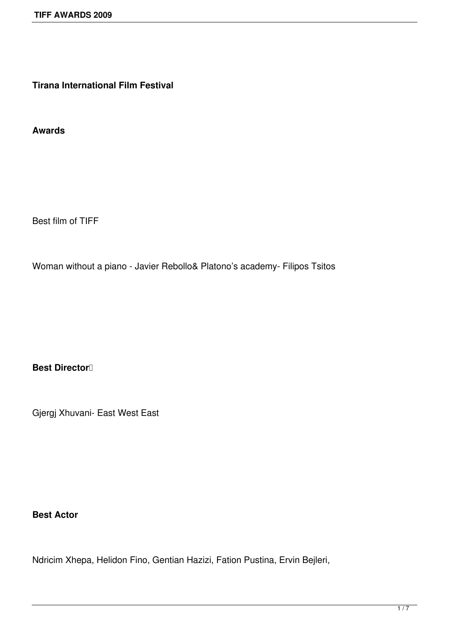**Tirana International Film Festival**

**Awards**

Best film of TIFF

Woman without a piano - Javier Rebollo& Platono's academy- Filipos Tsitos

**Best Director** 

Gjergj Xhuvani- East West East

#### **Best Actor**

Ndricim Xhepa, Helidon Fino, Gentian Hazizi, Fation Pustina, Ervin Bejleri,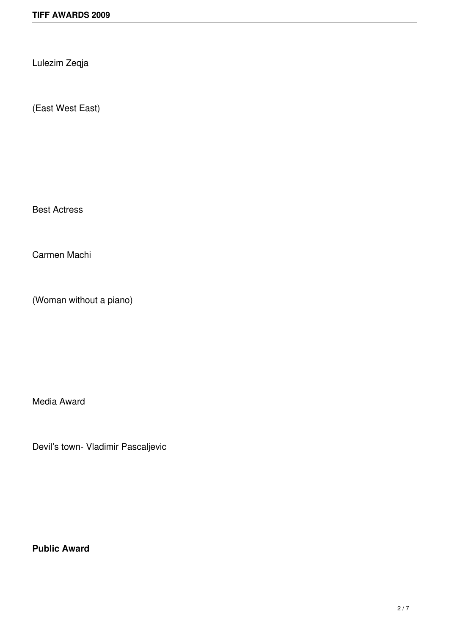Lulezim Zeqja

(East West East)

Best Actress

Carmen Machi

(Woman without a piano)

Media Award

Devil's town- Vladimir Pascaljevic

**Public Award**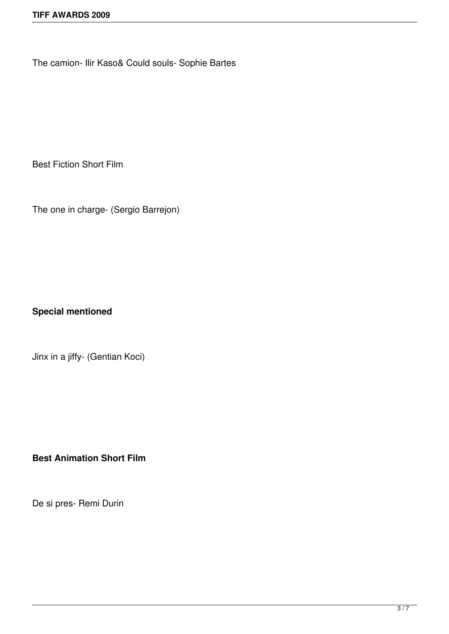The camion- Ilir Kaso& Could souls- Sophie Bartes

Best Fiction Short Film

The one in charge- (Sergio Barrejon)

**Special mentioned**

Jinx in a jiffy- (Gentian Koci)

**Best Animation Short Film**

De si pres- Remi Durin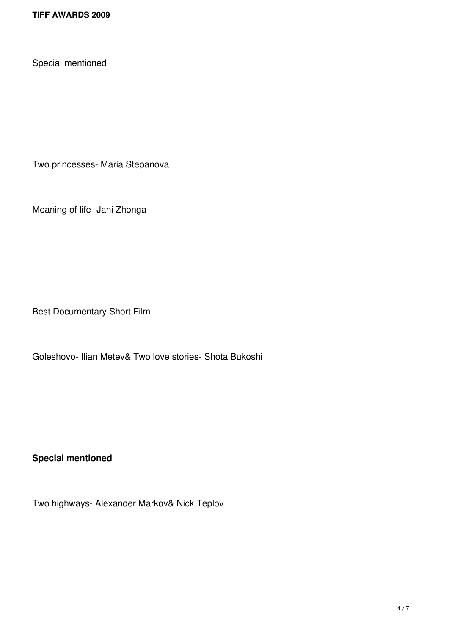Special mentioned

Two princesses- Maria Stepanova

Meaning of life- Jani Zhonga

Best Documentary Short Film

Goleshovo- Ilian Metev& Two love stories- Shota Bukoshi

**Special mentioned**

Two highways- Alexander Markov& Nick Teplov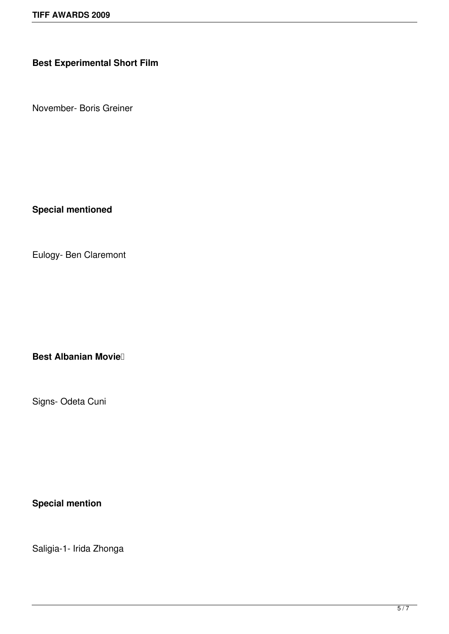#### **Best Experimental Short Film**

November- Boris Greiner

**Special mentioned**

Eulogy- Ben Claremont

**Best Albanian Movie** 

Signs- Odeta Cuni

**Special mention**

Saligia-1- Irida Zhonga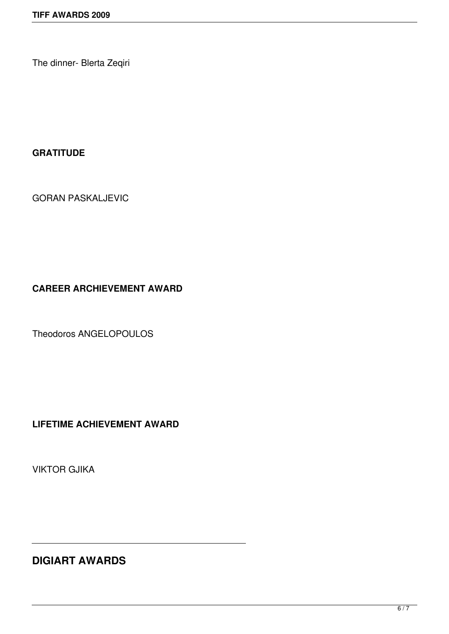The dinner- Blerta Zeqiri

#### **GRATITUDE**

GORAN PASKALJEVIC

### **CAREER ARCHIEVEMENT AWARD**

Theodoros ANGELOPOULOS

**LIFETIME ACHIEVEMENT AWARD**

VIKTOR GJIKA

# **DIGIART AWARDS**